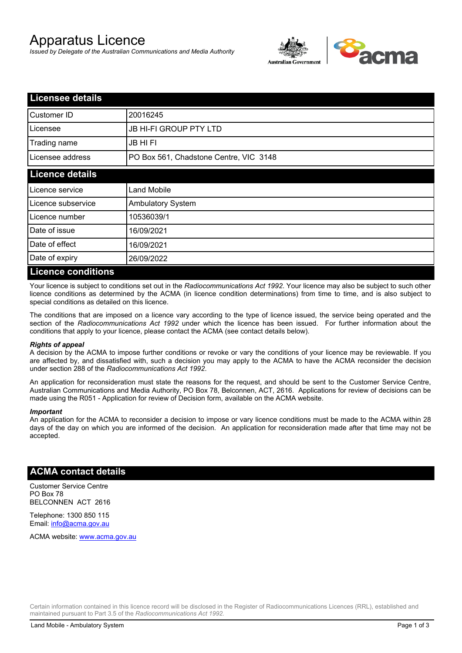# Apparatus Licence

*Issued by Delegate of the Australian Communications and Media Authority*



| <b>Licensee details</b>   |                                        |  |  |
|---------------------------|----------------------------------------|--|--|
| Customer ID               | 20016245                               |  |  |
| Licensee                  | <b>JB HI-FI GROUP PTY LTD</b>          |  |  |
| Trading name              | <b>JB HIFI</b>                         |  |  |
| Licensee address          | PO Box 561, Chadstone Centre, VIC 3148 |  |  |
| <b>Licence details</b>    |                                        |  |  |
| Licence service           | <b>Land Mobile</b>                     |  |  |
| Licence subservice        | <b>Ambulatory System</b>               |  |  |
| Licence number            | 10536039/1                             |  |  |
| Date of issue             | 16/09/2021                             |  |  |
| Date of effect            | 16/09/2021                             |  |  |
| Date of expiry            | 26/09/2022                             |  |  |
| <b>Licence conditions</b> |                                        |  |  |

Your licence is subject to conditions set out in the *Radiocommunications Act 1992*. Your licence may also be subject to such other licence conditions as determined by the ACMA (in licence condition determinations) from time to time, and is also subject to special conditions as detailed on this licence.

The conditions that are imposed on a licence vary according to the type of licence issued, the service being operated and the section of the *Radiocommunications Act 1992* under which the licence has been issued. For further information about the conditions that apply to your licence, please contact the ACMA (see contact details below).

### *Rights of appeal*

A decision by the ACMA to impose further conditions or revoke or vary the conditions of your licence may be reviewable. If you are affected by, and dissatisfied with, such a decision you may apply to the ACMA to have the ACMA reconsider the decision under section 288 of the *Radiocommunications Act 1992*.

An application for reconsideration must state the reasons for the request, and should be sent to the Customer Service Centre, Australian Communications and Media Authority, PO Box 78, Belconnen, ACT, 2616. Applications for review of decisions can be made using the R051 - Application for review of Decision form, available on the ACMA website.

#### *Important*

An application for the ACMA to reconsider a decision to impose or vary licence conditions must be made to the ACMA within 28 days of the day on which you are informed of the decision. An application for reconsideration made after that time may not be accepted.

### **ACMA contact details**

Customer Service Centre PO Box 78 BELCONNEN ACT 2616

Telephone: 1300 850 115 Email: info@acma.gov.au

ACMA website: www.acma.gov.au

Certain information contained in this licence record will be disclosed in the Register of Radiocommunications Licences (RRL), established and maintained pursuant to Part 3.5 of the *Radiocommunications Act 1992.*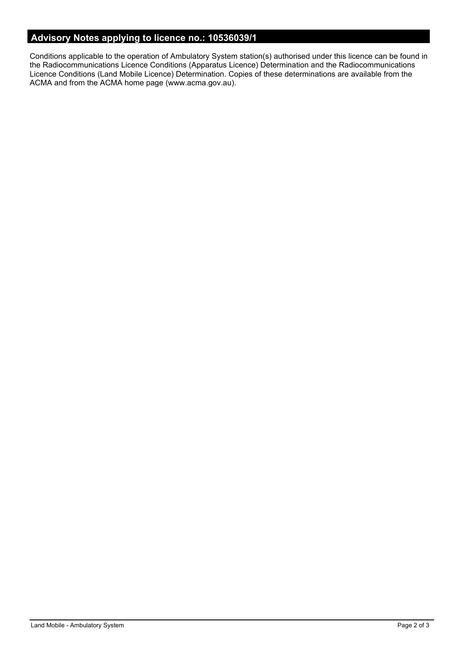# **Advisory Notes applying to licence no.: 10536039/1**

Conditions applicable to the operation of Ambulatory System station(s) authorised under this licence can be found in the Radiocommunications Licence Conditions (Apparatus Licence) Determination and the Radiocommunications Licence Conditions (Land Mobile Licence) Determination. Copies of these determinations are available from the ACMA and from the ACMA home page (www.acma.gov.au).